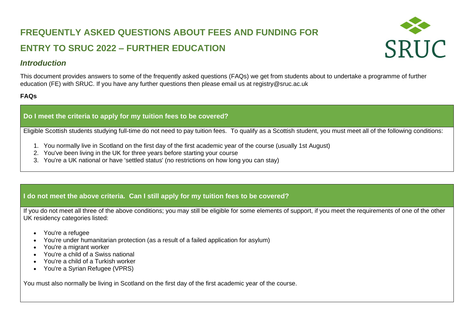# **FREQUENTLY ASKED QUESTIONS ABOUT FEES AND FUNDING FOR ENTRY TO SRUC 2022 – FURTHER EDUCATION**



# *Introduction*

This document provides answers to some of the frequently asked questions (FAQs) we get from students about to undertake a programme of further education (FE) with SRUC. If you have any further questions then please email us at registry@sruc.ac.uk

# **FAQs**

# **Do I meet the criteria to apply for my tuition fees to be covered?**

Eligible Scottish students studying full-time do not need to pay tuition fees. To qualify as a Scottish student, you must meet all of the following conditions:

- 1. You normally live in Scotland on the first day of the first academic year of the course (usually 1st August)
- 2. You've been living in the UK for three years before starting your course
- 3. You're a UK national or have 'settled status' (no restrictions on how long you can stay)

# **I do not meet the above criteria. Can I still apply for my tuition fees to be covered?**

If you do not meet all three of the above conditions; you may still be eligible for some elements of support, if you meet the requirements of one of the other UK residency categories listed:

- You're a refugee
- You're under humanitarian protection (as a result of a failed application for asylum)
- You're a migrant worker
- You're a child of a Swiss national
- You're a child of a Turkish worker
- You're a Syrian Refugee (VPRS)

You must also normally be living in Scotland on the first day of the first academic year of the course.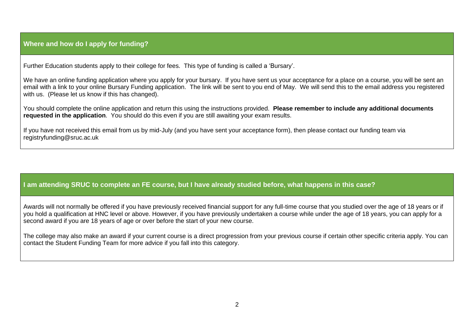# **Where and how do I apply for funding?**

Further Education students apply to their college for fees. This type of funding is called a 'Bursary'.

We have an online funding application where you apply for your bursary. If you have sent us your acceptance for a place on a course, you will be sent an email with a link to your online Bursary Funding application. The link will be sent to you end of May. We will send this to the email address you registered with us. (Please let us know if this has changed).

You should complete the online application and return this using the instructions provided. **Please remember to include any additional documents requested in the application**. You should do this even if you are still awaiting your exam results.

If you have not received this email from us by mid-July (and you have sent your acceptance form), then please contact our funding team via registryfunding@sruc.ac.uk

# **I am attending SRUC to complete an FE course, but I have already studied before, what happens in this case?**

Awards will not normally be offered if you have previously received financial support for any full-time course that you studied over the age of 18 years or if you hold a qualification at HNC level or above. However, if you have previously undertaken a course while under the age of 18 years, you can apply for a second award if you are 18 years of age or over before the start of your new course.

The college may also make an award if your current course is a direct progression from your previous course if certain other specific criteria apply. You can contact the Student Funding Team for more advice if you fall into this category.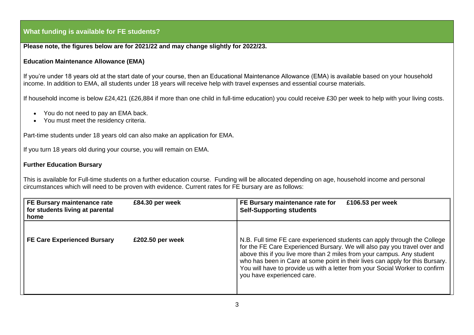## **What funding is available for FE students?**

## **Please note, the figures below are for 2021/22 and may change slightly for 2022/23.**

## **Education Maintenance Allowance (EMA)**

If you're under 18 years old at the start date of your course, then an Educational Maintenance Allowance (EMA) is available based on your household income. In addition to EMA, all students under 18 years will receive help with travel expenses and essential course materials.

If household income is below £24,421 (£26,884 if more than one child in full-time education) you could receive £30 per week to help with your living costs.

- You do not need to pay an EMA back.
- You must meet the residency criteria.

Part-time students under 18 years old can also make an application for EMA.

If you turn 18 years old during your course, you will remain on EMA.

### **Further Education Bursary**

This is available for Full-time students on a further education course. Funding will be allocated depending on age, household income and personal circumstances which will need to be proven with evidence. Current rates for FE bursary are as follows:

| FE Bursary maintenance rate<br>for students living at parental<br>home | £84.30 per week  | FE Bursary maintenance rate for<br>£106.53 per week<br><b>Self-Supporting students</b>                                                                                                                                                                                                                                                                                                                                          |
|------------------------------------------------------------------------|------------------|---------------------------------------------------------------------------------------------------------------------------------------------------------------------------------------------------------------------------------------------------------------------------------------------------------------------------------------------------------------------------------------------------------------------------------|
| <b>FE Care Experienced Bursary</b>                                     | £202.50 per week | N.B. Full time FE care experienced students can apply through the College<br>for the FE Care Experienced Bursary. We will also pay you travel over and<br>above this if you live more than 2 miles from your campus. Any student<br>who has been in Care at some point in their lives can apply for this Bursary.<br>You will have to provide us with a letter from your Social Worker to confirm<br>you have experienced care. |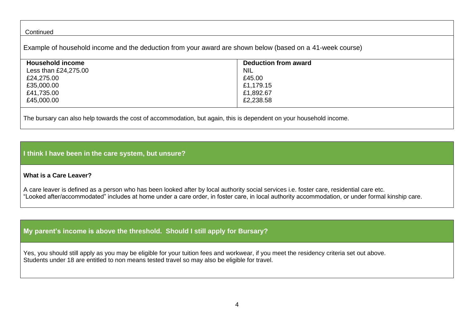#### **Continued**

Example of household income and the deduction from your award are shown below (based on a 41-week course)

| <b>Household income</b> | <b>Deduction from award</b> |
|-------------------------|-----------------------------|
| Less than £24,275.00    | <b>NIL</b>                  |
| £24,275.00              | £45.00                      |
| £35,000.00              | £1,179.15                   |
| £41,735.00              | £1,892.67                   |
| £45,000.00              | £2,238.58                   |
|                         |                             |

The bursary can also help towards the cost of accommodation, but again, this is dependent on your household income.

## **I think I have been in the care system, but unsure?**

## **What is a Care Leaver?**

A care leaver is defined as a person who has been looked after by local authority social services i.e. foster care, residential care etc. "Looked after/accommodated" includes at home under a care order, in foster care, in local authority accommodation, or under formal kinship care.

# **My parent's income is above the threshold. Should I still apply for Bursary?**

Yes, you should still apply as you may be eligible for your tuition fees and workwear, if you meet the residency criteria set out above. Students under 18 are entitled to non means tested travel so may also be eligible for travel.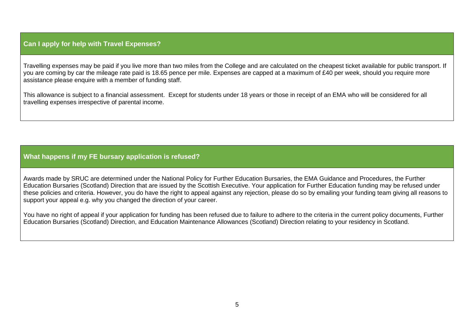## **Can I apply for help with Travel Expenses?**

Travelling expenses may be paid if you live more than two miles from the College and are calculated on the cheapest ticket available for public transport. If you are coming by car the mileage rate paid is 18.65 pence per mile. Expenses are capped at a maximum of £40 per week, should you require more assistance please enquire with a member of funding staff.

This allowance is subject to a financial assessment. Except for students under 18 years or those in receipt of an EMA who will be considered for all travelling expenses irrespective of parental income.

# **What happens if my FE bursary application is refused?**

Awards made by SRUC are determined under the National Policy for Further Education Bursaries, the EMA Guidance and Procedures, the Further Education Bursaries (Scotland) Direction that are issued by the Scottish Executive. Your application for Further Education funding may be refused under these policies and criteria. However, you do have the right to appeal against any rejection, please do so by emailing your funding team giving all reasons to support your appeal e.g. why you changed the direction of your career.

You have no right of appeal if your application for funding has been refused due to failure to adhere to the criteria in the current policy documents, Further Education Bursaries (Scotland) Direction, and Education Maintenance Allowances (Scotland) Direction relating to your residency in Scotland.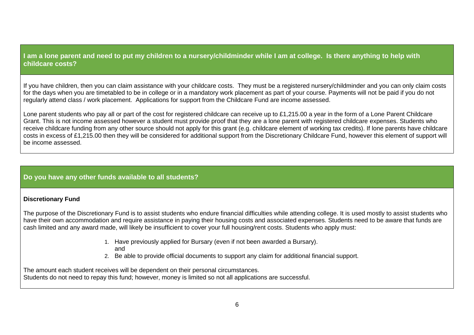**I am a lone parent and need to put my children to a nursery/childminder while I am at college. Is there anything to help with childcare costs?**

If you have children, then you can claim assistance with your childcare costs. They must be a registered nursery/childminder and you can only claim costs for the days when you are timetabled to be in college or in a mandatory work placement as part of your course. Payments will not be paid if you do not regularly attend class / work placement. Applications for support from the Childcare Fund are income assessed.

Lone parent students who pay all or part of the cost for registered childcare can receive up to £1,215.00 a year in the form of a Lone Parent Childcare Grant. This is not income assessed however a student must provide proof that they are a lone parent with registered childcare expenses. Students who receive childcare funding from any other source should not apply for this grant (e.g. childcare element of working tax credits). If lone parents have childcare costs in excess of £1,215.00 then they will be considered for additional support from the Discretionary Childcare Fund, however this element of support will be income assessed.

## **Do you have any other funds available to all students?**

## **Discretionary Fund**

The purpose of the Discretionary Fund is to assist students who endure financial difficulties while attending college. It is used mostly to assist students who have their own accommodation and require assistance in paying their housing costs and associated expenses. Students need to be aware that funds are cash limited and any award made, will likely be insufficient to cover your full housing/rent costs. Students who apply must:

- 1. Have previously applied for Bursary (even if not been awarded a Bursary).
	- and
- 2. Be able to provide official documents to support any claim for additional financial support.

The amount each student receives will be dependent on their personal circumstances.

Students do not need to repay this fund; however, money is limited so not all applications are successful.